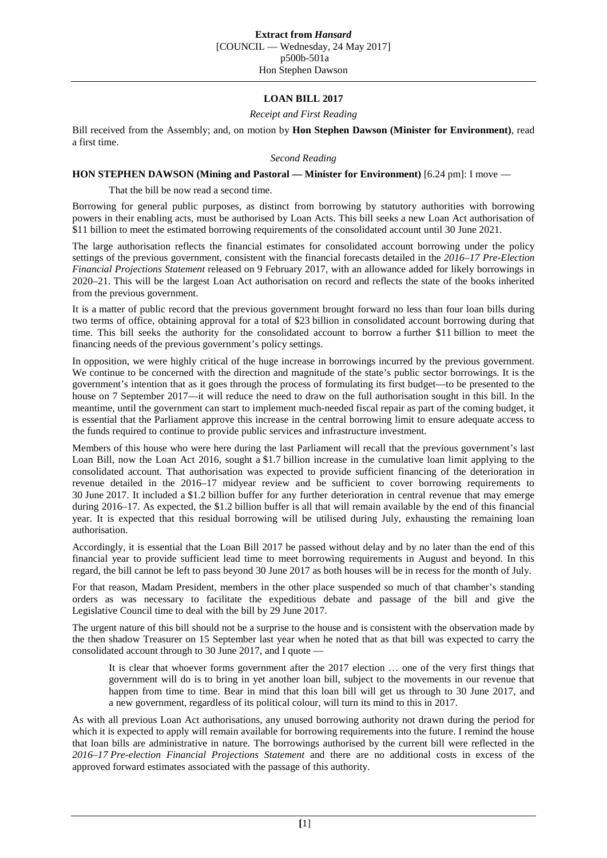## **LOAN BILL 2017**

*Receipt and First Reading*

Bill received from the Assembly; and, on motion by **Hon Stephen Dawson (Minister for Environment)**, read a first time.

*Second Reading*

## **HON STEPHEN DAWSON (Mining and Pastoral — Minister for Environment)** [6.24 pm]: I move —

That the bill be now read a second time.

Borrowing for general public purposes, as distinct from borrowing by statutory authorities with borrowing powers in their enabling acts, must be authorised by Loan Acts. This bill seeks a new Loan Act authorisation of \$11 billion to meet the estimated borrowing requirements of the consolidated account until 30 June 2021.

The large authorisation reflects the financial estimates for consolidated account borrowing under the policy settings of the previous government, consistent with the financial forecasts detailed in the *2016–17 Pre-Election Financial Projections Statement* released on 9 February 2017, with an allowance added for likely borrowings in 2020–21. This will be the largest Loan Act authorisation on record and reflects the state of the books inherited from the previous government.

It is a matter of public record that the previous government brought forward no less than four loan bills during two terms of office, obtaining approval for a total of \$23 billion in consolidated account borrowing during that time. This bill seeks the authority for the consolidated account to borrow a further \$11 billion to meet the financing needs of the previous government's policy settings.

In opposition, we were highly critical of the huge increase in borrowings incurred by the previous government. We continue to be concerned with the direction and magnitude of the state's public sector borrowings. It is the government's intention that as it goes through the process of formulating its first budget—to be presented to the house on 7 September 2017—it will reduce the need to draw on the full authorisation sought in this bill. In the meantime, until the government can start to implement much-needed fiscal repair as part of the coming budget, it is essential that the Parliament approve this increase in the central borrowing limit to ensure adequate access to the funds required to continue to provide public services and infrastructure investment.

Members of this house who were here during the last Parliament will recall that the previous government's last Loan Bill, now the Loan Act 2016, sought a \$1.7 billion increase in the cumulative loan limit applying to the consolidated account. That authorisation was expected to provide sufficient financing of the deterioration in revenue detailed in the 2016–17 midyear review and be sufficient to cover borrowing requirements to 30 June 2017. It included a \$1.2 billion buffer for any further deterioration in central revenue that may emerge during 2016–17. As expected, the \$1.2 billion buffer is all that will remain available by the end of this financial year. It is expected that this residual borrowing will be utilised during July, exhausting the remaining loan authorisation.

Accordingly, it is essential that the Loan Bill 2017 be passed without delay and by no later than the end of this financial year to provide sufficient lead time to meet borrowing requirements in August and beyond. In this regard, the bill cannot be left to pass beyond 30 June 2017 as both houses will be in recess for the month of July.

For that reason, Madam President, members in the other place suspended so much of that chamber's standing orders as was necessary to facilitate the expeditious debate and passage of the bill and give the Legislative Council time to deal with the bill by 29 June 2017.

The urgent nature of this bill should not be a surprise to the house and is consistent with the observation made by the then shadow Treasurer on 15 September last year when he noted that as that bill was expected to carry the consolidated account through to 30 June 2017, and I quote —

It is clear that whoever forms government after the 2017 election … one of the very first things that government will do is to bring in yet another loan bill, subject to the movements in our revenue that happen from time to time. Bear in mind that this loan bill will get us through to 30 June 2017, and a new government, regardless of its political colour, will turn its mind to this in 2017.

As with all previous Loan Act authorisations, any unused borrowing authority not drawn during the period for which it is expected to apply will remain available for borrowing requirements into the future. I remind the house that loan bills are administrative in nature. The borrowings authorised by the current bill were reflected in the *2016–17 Pre-election Financial Projections Statement* and there are no additional costs in excess of the approved forward estimates associated with the passage of this authority.